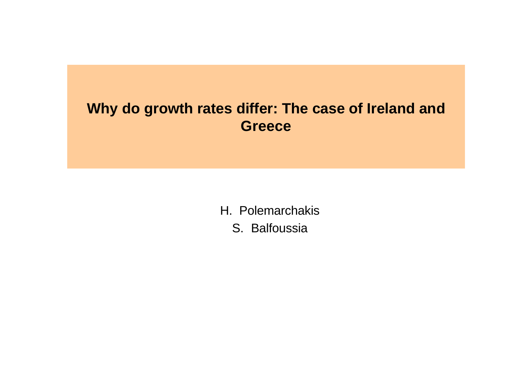### **Why do growth rates differ: The case of Ireland and Greece**

H. Polemarchakis S. Balfoussia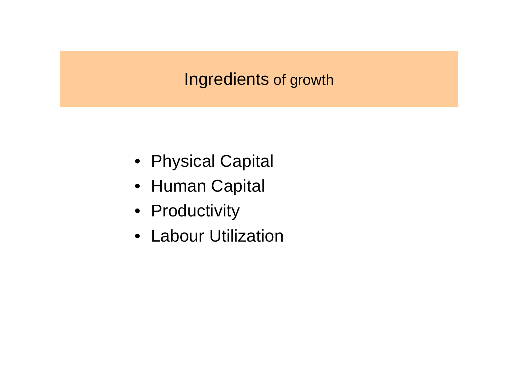## Ingredients of growth

- Physical Capital
- Human Capital
- Productivity
- Labour Utilization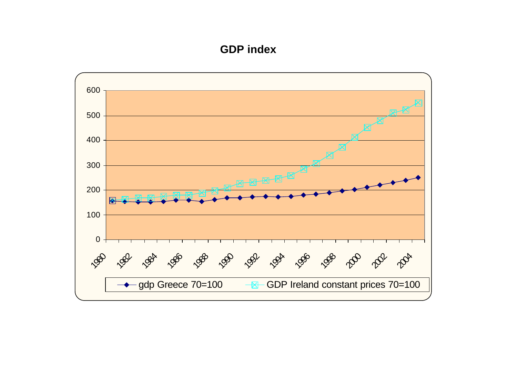#### **GDP index**

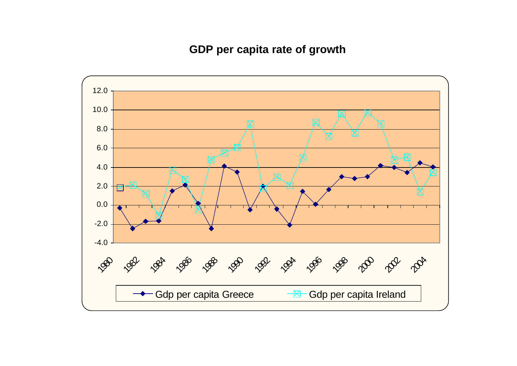**GDP per capita rate of growth**

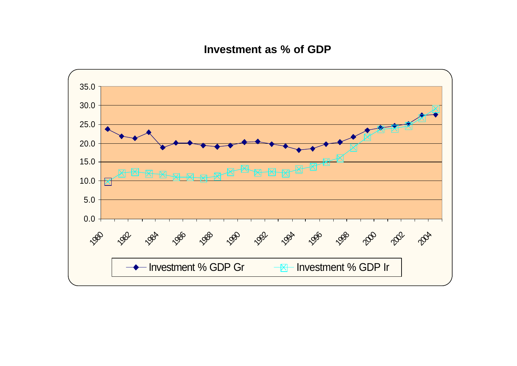**Investment as % of GDP**

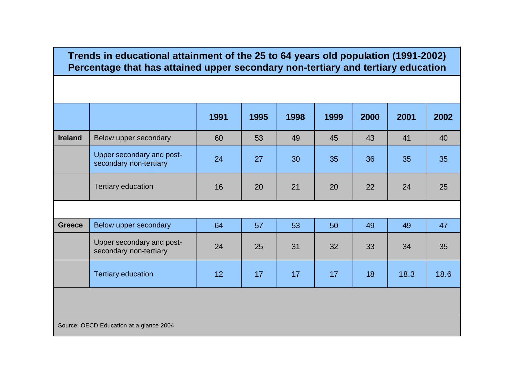#### **Trends in educational attainment of the 25 to 64 years old population (1991-2002) Percentage that has attained upper secondary non-tertiary and tertiary education**

|                |                                                     | 1991 | 1995 | 1998 | 1999 | 2000 | 2001 | 2002 |
|----------------|-----------------------------------------------------|------|------|------|------|------|------|------|
| <b>Ireland</b> | Below upper secondary                               | 60   | 53   | 49   | 45   | 43   | 41   | 40   |
|                | Upper secondary and post-<br>secondary non-tertiary | 24   | 27   | 30   | 35   | 36   | 35   | 35   |
|                | <b>Tertiary education</b>                           | 16   | 20   | 21   | 20   | 22   | 24   | 25   |
|                |                                                     |      |      |      |      |      |      |      |
| <b>Greece</b>  | Below upper secondary                               | 64   | 57   | 53   | 50   | 49   | 49   | 47   |
|                | Upper secondary and post-<br>secondary non-tertiary | 24   | 25   | 31   | 32   | 33   | 34   | 35   |
|                | <b>Tertiary education</b>                           | 12   | 17   | 17   | 17   | 18   | 18.3 | 18.6 |
|                |                                                     |      |      |      |      |      |      |      |

Source: OECD Education at a glance 2004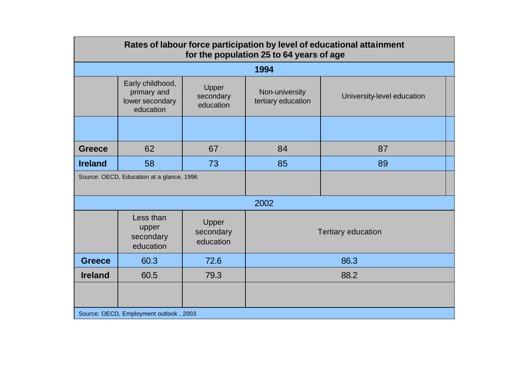| Rates of labour force participation by level of educational attainment<br>for the population 25 to 64 years of age |                                                                 |                                 |                                      |                            |  |  |
|--------------------------------------------------------------------------------------------------------------------|-----------------------------------------------------------------|---------------------------------|--------------------------------------|----------------------------|--|--|
| 1994                                                                                                               |                                                                 |                                 |                                      |                            |  |  |
|                                                                                                                    | Early childhood,<br>primary and<br>lower secondary<br>education | Upper<br>secondary<br>education | Non-university<br>tertiary education | University-level education |  |  |
|                                                                                                                    |                                                                 |                                 |                                      |                            |  |  |
| <b>Greece</b>                                                                                                      | 62                                                              | 67                              | 84                                   | 87                         |  |  |
| <b>Ireland</b>                                                                                                     | 58                                                              | 73                              | 85                                   | 89                         |  |  |
|                                                                                                                    | Source: OECD, Education at a glance, 1996                       |                                 |                                      |                            |  |  |
| 2002                                                                                                               |                                                                 |                                 |                                      |                            |  |  |
|                                                                                                                    | Less than<br>upper<br>secondary<br>education                    | Upper<br>secondary<br>education | <b>Tertiary education</b>            |                            |  |  |
| <b>Greece</b>                                                                                                      | 60.3                                                            | 72.6                            | 86.3                                 |                            |  |  |
| <b>Ireland</b>                                                                                                     | 60.5                                                            | 79.3                            | 88.2                                 |                            |  |  |
|                                                                                                                    |                                                                 |                                 |                                      |                            |  |  |
| Source: OECD, Employment outlook, 2003                                                                             |                                                                 |                                 |                                      |                            |  |  |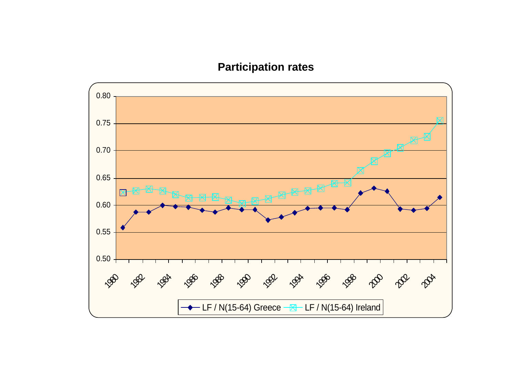### **Participation rates**

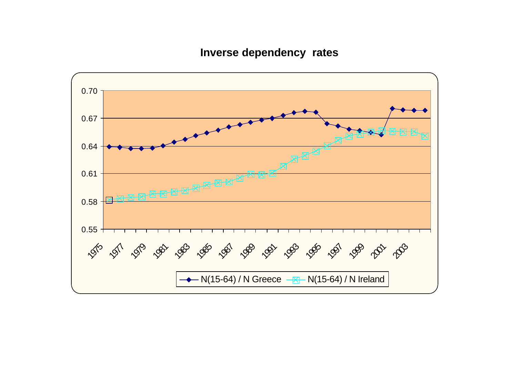**Inverse dependency rates**

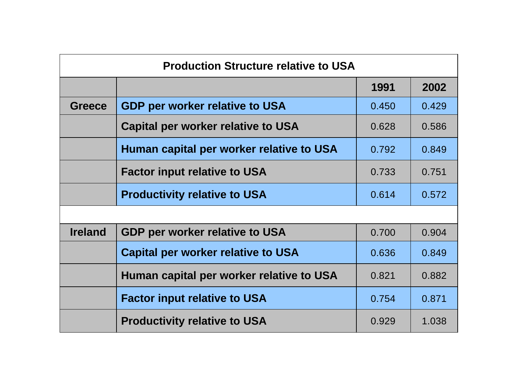| <b>Production Structure relative to USA</b> |                                           |       |       |  |  |  |  |
|---------------------------------------------|-------------------------------------------|-------|-------|--|--|--|--|
|                                             |                                           | 1991  | 2002  |  |  |  |  |
| <b>Greece</b>                               | <b>GDP per worker relative to USA</b>     | 0.450 | 0.429 |  |  |  |  |
|                                             | <b>Capital per worker relative to USA</b> | 0.628 | 0.586 |  |  |  |  |
|                                             | Human capital per worker relative to USA  | 0.792 | 0.849 |  |  |  |  |
|                                             | <b>Factor input relative to USA</b>       | 0.733 | 0.751 |  |  |  |  |
|                                             | <b>Productivity relative to USA</b>       | 0.614 | 0.572 |  |  |  |  |
|                                             |                                           |       |       |  |  |  |  |
| <b>Ireland</b>                              | <b>GDP per worker relative to USA</b>     | 0.700 | 0.904 |  |  |  |  |
|                                             | <b>Capital per worker relative to USA</b> | 0.636 | 0.849 |  |  |  |  |
|                                             | Human capital per worker relative to USA  | 0.821 | 0.882 |  |  |  |  |
|                                             | <b>Factor input relative to USA</b>       | 0.754 | 0.871 |  |  |  |  |
|                                             | <b>Productivity relative to USA</b>       | 0.929 | 1.038 |  |  |  |  |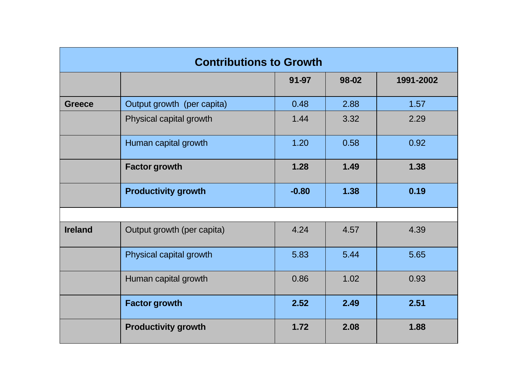| <b>Contributions to Growth</b> |                            |         |       |           |  |  |
|--------------------------------|----------------------------|---------|-------|-----------|--|--|
|                                |                            | 91-97   | 98-02 | 1991-2002 |  |  |
| <b>Greece</b>                  | Output growth (per capita) | 0.48    | 2.88  | 1.57      |  |  |
|                                | Physical capital growth    | 1.44    | 3.32  | 2.29      |  |  |
|                                | Human capital growth       | 1.20    | 0.58  | 0.92      |  |  |
|                                | <b>Factor growth</b>       | 1.28    | 1.49  | 1.38      |  |  |
|                                | <b>Productivity growth</b> | $-0.80$ | 1.38  | 0.19      |  |  |
|                                |                            |         |       |           |  |  |
| <b>Ireland</b>                 | Output growth (per capita) | 4.24    | 4.57  | 4.39      |  |  |
|                                | Physical capital growth    | 5.83    | 5.44  | 5.65      |  |  |
|                                | Human capital growth       | 0.86    | 1.02  | 0.93      |  |  |
|                                | <b>Factor growth</b>       | 2.52    | 2.49  | 2.51      |  |  |
|                                | <b>Productivity growth</b> | 1.72    | 2.08  | 1.88      |  |  |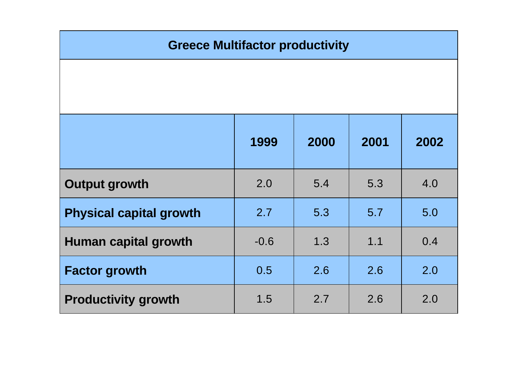| <b>Greece Multifactor productivity</b> |        |      |      |      |  |
|----------------------------------------|--------|------|------|------|--|
|                                        |        |      |      |      |  |
|                                        |        |      |      |      |  |
|                                        | 1999   | 2000 | 2001 | 2002 |  |
| <b>Output growth</b>                   | 2.0    | 5.4  | 5.3  | 4.0  |  |
| <b>Physical capital growth</b>         | 2.7    | 5.3  | 5.7  | 5.0  |  |
| Human capital growth                   | $-0.6$ | 1.3  | 1.1  | 0.4  |  |
| <b>Factor growth</b>                   | 0.5    | 2.6  | 2.6  | 2.0  |  |
| <b>Productivity growth</b>             | 1.5    | 2.7  | 2.6  | 2.0  |  |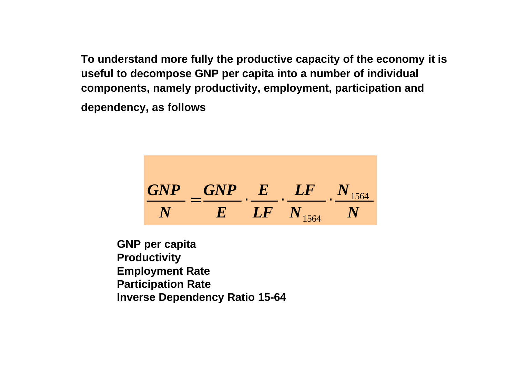**To understand more fully the productive capacity of the economy it is useful to decompose GNP per capita into a number of individual components, namely productivity, employment, participation and dependency, as follows**



**GNP per capita Productivity Employment Rate Participation Rate Inverse Dependency Ratio 15-64**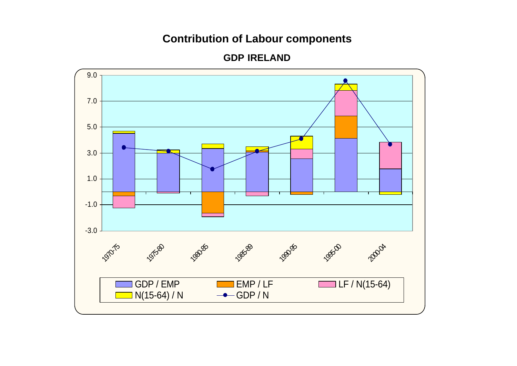### **Contribution of Labour components**



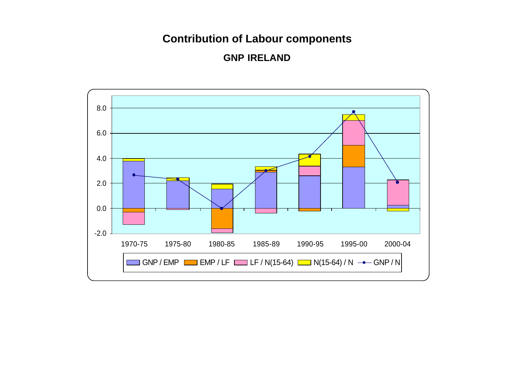### **Contribution of Labour components**

**GNP IRELAND**

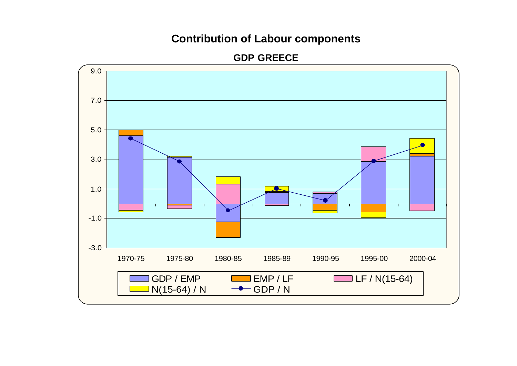#### **Contribution of Labour components**